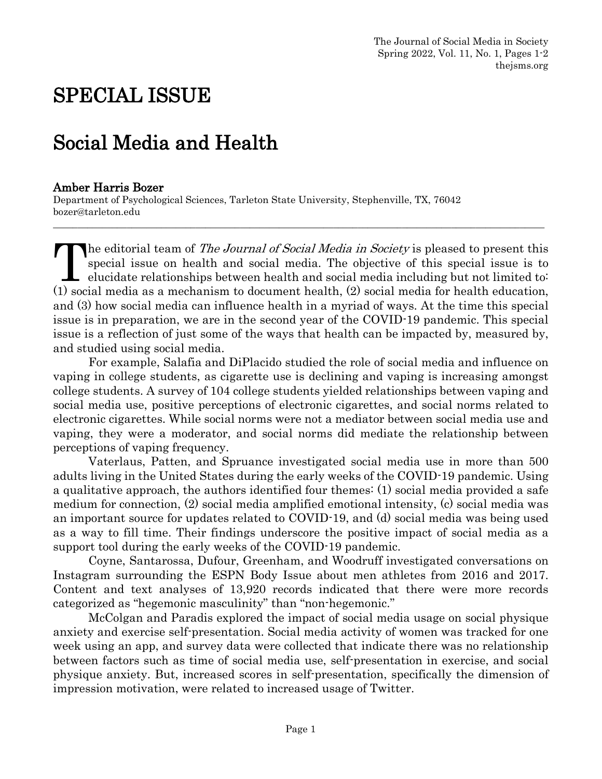# SPECIAL ISSUE

## Social Media and Health

#### Amber Harris Bozer

Department of Psychological Sciences, Tarleton State University, Stephenville, TX, 76042 bozer@tarleton.edu

The editorial team of The Journal of Social Media in Society is pleased to present this special issue on health and social media. The objective of this special issue is to elucidate relationships between health and social media including but not limited to: The editorial team of *The Journal of Social Media in Society* is pleased to present this special issue on health and social media. The objective of this special issue is to elucidate relationships between health and socia and (3) how social media can influence health in a myriad of ways. At the time this special issue is in preparation, we are in the second year of the COVID-19 pandemic. This special issue is a reflection of just some of the ways that health can be impacted by, measured by, and studied using social media.

\_\_\_\_\_\_\_\_\_\_\_\_\_\_\_\_\_\_\_\_\_\_\_\_\_\_\_\_\_\_\_\_\_\_\_\_\_\_\_\_\_\_\_\_\_\_\_\_\_\_\_\_\_\_\_\_\_\_\_\_\_\_\_\_\_\_\_\_\_\_\_\_\_\_\_\_\_\_\_\_\_\_\_\_\_\_\_\_\_\_\_\_\_\_\_\_\_\_\_\_

For example, Salafia and DiPlacido studied the role of social media and influence on vaping in college students, as cigarette use is declining and vaping is increasing amongst college students. A survey of 104 college students yielded relationships between vaping and social media use, positive perceptions of electronic cigarettes, and social norms related to electronic cigarettes. While social norms were not a mediator between social media use and vaping, they were a moderator, and social norms did mediate the relationship between perceptions of vaping frequency.

Vaterlaus, Patten, and Spruance investigated social media use in more than 500 adults living in the United States during the early weeks of the COVID-19 pandemic. Using a qualitative approach, the authors identified four themes: (1) social media provided a safe medium for connection, (2) social media amplified emotional intensity, (c) social media was an important source for updates related to COVID-19, and (d) social media was being used as a way to fill time. Their findings underscore the positive impact of social media as a support tool during the early weeks of the COVID-19 pandemic.

Coyne, Santarossa, Dufour, Greenham, and Woodruff investigated conversations on Instagram surrounding the ESPN Body Issue about men athletes from 2016 and 2017. Content and text analyses of 13,920 records indicated that there were more records categorized as "hegemonic masculinity" than "non-hegemonic."

McColgan and Paradis explored the impact of social media usage on social physique anxiety and exercise self-presentation. Social media activity of women was tracked for one week using an app, and survey data were collected that indicate there was no relationship between factors such as time of social media use, self-presentation in exercise, and social physique anxiety. But, increased scores in self-presentation, specifically the dimension of impression motivation, were related to increased usage of Twitter.